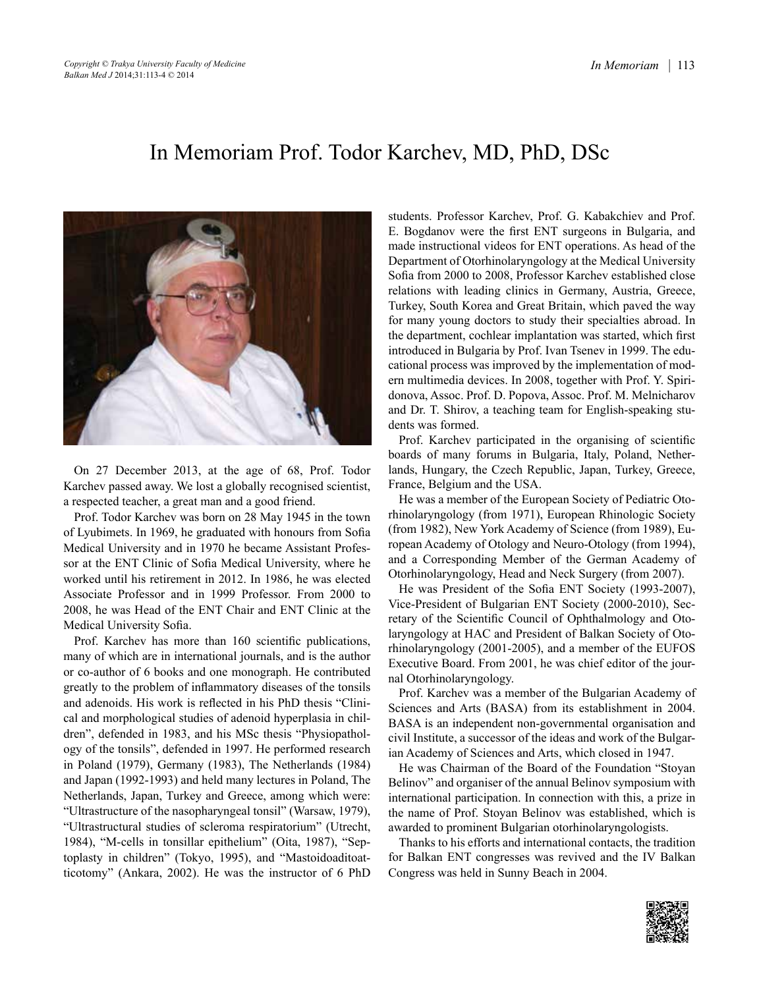## In Memoriam Prof. Todor Karchev, MD, PhD, DSc



On 27 December 2013, at the age of 68, Prof. Todor Karchev passed away. We lost a globally recognised scientist, a respected teacher, a great man and a good friend.

Prof. Todor Karchev was born on 28 May 1945 in the town of Lyubimets. In 1969, he graduated with honours from Sofia Medical University and in 1970 he became Assistant Professor at the ENT Clinic of Sofia Medical University, where he worked until his retirement in 2012. In 1986, he was elected Associate Professor and in 1999 Professor. From 2000 to 2008, he was Head of the ENT Chair and ENT Clinic at the Medical University Sofia.

Prof. Karchev has more than 160 scientific publications, many of which are in international journals, and is the author or co-author of 6 books and one monograph. He contributed greatly to the problem of inflammatory diseases of the tonsils and adenoids. His work is reflected in his PhD thesis "Clinical and morphological studies of adenoid hyperplasia in children", defended in 1983, and his MSc thesis "Physiopathology of the tonsils", defended in 1997. He performed research in Poland (1979), Germany (1983), The Netherlands (1984) and Japan (1992-1993) and held many lectures in Poland, The Netherlands, Japan, Turkey and Greece, among which were: "Ultrastructure of the nasopharyngeal tonsil" (Warsaw, 1979), "Ultrastructural studies of scleroma respiratorium" (Utrecht, 1984), "M-cells in tonsillar epithelium" (Oita, 1987), "Septoplasty in children" (Tokyo, 1995), and "Mastoidoaditoatticotomy" (Ankara, 2002). He was the instructor of 6 PhD students. Professor Karchev, Prof. G. Kabakchiev and Prof. E. Bogdanov were the first ENT surgeons in Bulgaria, and made instructional videos for ENT operations. As head of the Department of Otorhinolaryngology at the Medical University Sofia from 2000 to 2008, Professor Karchev established close relations with leading clinics in Germany, Austria, Greece, Turkey, South Korea and Great Britain, which paved the way for many young doctors to study their specialties abroad. In the department, cochlear implantation was started, which first introduced in Bulgaria by Prof. Ivan Tsenev in 1999. The educational process was improved by the implementation of modern multimedia devices. In 2008, together with Prof. Y. Spiridonova, Assoc. Prof. D. Popova, Assoc. Prof. M. Melnicharov and Dr. T. Shirov, a teaching team for English-speaking students was formed.

Prof. Karchev participated in the organising of scientific boards of many forums in Bulgaria, Italy, Poland, Netherlands, Hungary, the Czech Republic, Japan, Turkey, Greece, France, Belgium and the USA.

He was a member of the European Society of Pediatric Otorhinolaryngology (from 1971), European Rhinologic Society (from 1982), New York Academy of Science (from 1989), European Academy of Otology and Neuro-Otology (from 1994), and a Corresponding Member of the German Academy of Otorhinolaryngology, Head and Neck Surgery (from 2007).

He was President of the Sofia ENT Society (1993-2007), Vice-President of Bulgarian ENT Society (2000-2010), Secretary of the Scientific Council of Ophthalmology and Otolaryngology at HAC and President of Balkan Society of Otorhinolaryngology (2001-2005), and a member of the EUFOS Executive Board. From 2001, he was chief editor of the journal Otorhinolaryngology.

Prof. Karchev was a member of the Bulgarian Academy of Sciences and Arts (BASA) from its establishment in 2004. BASA is an independent non-governmental organisation and civil Institute, a successor of the ideas and work of the Bulgarian Academy of Sciences and Arts, which closed in 1947.

He was Chairman of the Board of the Foundation "Stoyan Belinov" and organiser of the annual Belinov symposium with international participation. In connection with this, a prize in the name of Prof. Stoyan Belinov was established, which is awarded to prominent Bulgarian otorhinolaryngologists.

Thanks to his efforts and international contacts, the tradition for Balkan ENT congresses was revived and the IV Balkan Congress was held in Sunny Beach in 2004.